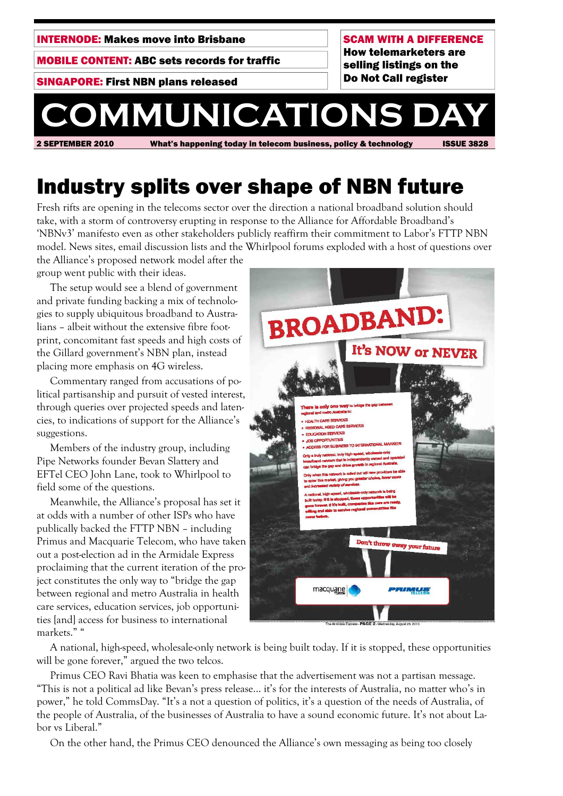INTERNODE: Makes move into Brisbane

MOBILE CONTENT: ABC sets records for traffic

SINGAPORE: First NBN plans released

SCAM WITH A DIFFERENCE How telemarketers are selling listings on the Do Not Call register

# 2 SEPTEMBER 2010 What's happening today in telecom business, policy & technology ISSUE 3828 **COMMUNICATIONS**

# Industry splits over shape of NBN future

Fresh rifts are opening in the telecoms sector over the direction a national broadband solution should take, with a storm of controversy erupting in response to the Alliance for Affordable Broadband's 'NBNv3' manifesto even as other stakeholders publicly reaffirm their commitment to Labor's FTTP NBN model. News sites, email discussion lists and the Whirlpool forums exploded with a host of questions over the Alliance's proposed network model after the

group went public with their ideas.

 The setup would see a blend of government and private funding backing a mix of technologies to supply ubiquitous broadband to Australians – albeit without the extensive fibre footprint, concomitant fast speeds and high costs of the Gillard government's NBN plan, instead placing more emphasis on 4G wireless.

 Commentary ranged from accusations of political partisanship and pursuit of vested interest, through queries over projected speeds and latencies, to indications of support for the Alliance's suggestions.

 Members of the industry group, including Pipe Networks founder Bevan Slattery and EFTel CEO John Lane, took to Whirlpool to field some of the questions.

 Meanwhile, the Alliance's proposal has set it at odds with a number of other ISPs who have publically backed the FTTP NBN – including Primus and Macquarie Telecom, who have taken out a post-election ad in the Armidale Express proclaiming that the current iteration of the project constitutes the only way to "bridge the gap between regional and metro Australia in health care services, education services, job opportunities [and] access for business to international markets." "



 A national, high-speed, wholesale-only network is being built today. If it is stopped, these opportunities will be gone forever," argued the two telcos.

 Primus CEO Ravi Bhatia was keen to emphasise that the advertisement was not a partisan message. "This is not a political ad like Bevan's press release... it's for the interests of Australia, no matter who's in power," he told CommsDay. "It's a not a question of politics, it's a question of the needs of Australia, of the people of Australia, of the businesses of Australia to have a sound economic future. It's not about Labor vs Liberal."

On the other hand, the Primus CEO denounced the Alliance's own messaging as being too closely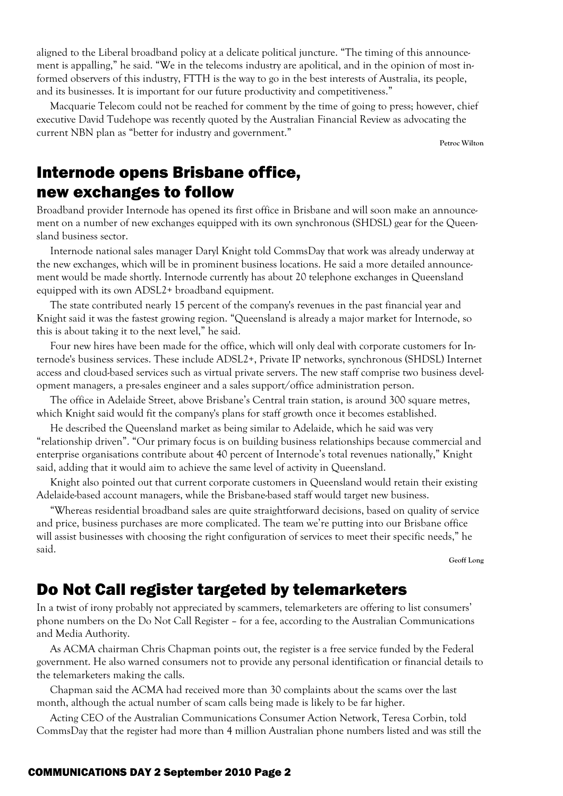aligned to the Liberal broadband policy at a delicate political juncture. "The timing of this announcement is appalling," he said. "We in the telecoms industry are apolitical, and in the opinion of most informed observers of this industry, FTTH is the way to go in the best interests of Australia, its people, and its businesses. It is important for our future productivity and competitiveness."

 Macquarie Telecom could not be reached for comment by the time of going to press; however, chief executive David Tudehope was recently quoted by the Australian Financial Review as advocating the current NBN plan as "better for industry and government."

**Petroc Wilton** 

## Internode opens Brisbane office, new exchanges to follow

Broadband provider Internode has opened its first office in Brisbane and will soon make an announcement on a number of new exchanges equipped with its own synchronous (SHDSL) gear for the Queensland business sector.

 Internode national sales manager Daryl Knight told CommsDay that work was already underway at the new exchanges, which will be in prominent business locations. He said a more detailed announcement would be made shortly. Internode currently has about 20 telephone exchanges in Queensland equipped with its own ADSL2+ broadband equipment.

 The state contributed nearly 15 percent of the company's revenues in the past financial year and Knight said it was the fastest growing region. "Queensland is already a major market for Internode, so this is about taking it to the next level," he said.

 Four new hires have been made for the office, which will only deal with corporate customers for Internode's business services. These include ADSL2+, Private IP networks, synchronous (SHDSL) Internet access and cloud-based services such as virtual private servers. The new staff comprise two business development managers, a pre-sales engineer and a sales support/office administration person.

 The office in Adelaide Street, above Brisbane's Central train station, is around 300 square metres, which Knight said would fit the company's plans for staff growth once it becomes established.

 He described the Queensland market as being similar to Adelaide, which he said was very "relationship driven". "Our primary focus is on building business relationships because commercial and enterprise organisations contribute about 40 percent of Internode's total revenues nationally," Knight said, adding that it would aim to achieve the same level of activity in Queensland.

 Knight also pointed out that current corporate customers in Queensland would retain their existing Adelaide-based account managers, while the Brisbane-based staff would target new business.

 "Whereas residential broadband sales are quite straightforward decisions, based on quality of service and price, business purchases are more complicated. The team we're putting into our Brisbane office will assist businesses with choosing the right configuration of services to meet their specific needs," he said.

**Geoff Long** 

# Do Not Call register targeted by telemarketers

In a twist of irony probably not appreciated by scammers, telemarketers are offering to list consumers' phone numbers on the Do Not Call Register – for a fee, according to the Australian Communications and Media Authority.

 As ACMA chairman Chris Chapman points out, the register is a free service funded by the Federal government. He also warned consumers not to provide any personal identification or financial details to the telemarketers making the calls.

 Chapman said the ACMA had received more than 30 complaints about the scams over the last month, although the actual number of scam calls being made is likely to be far higher.

 Acting CEO of the Australian Communications Consumer Action Network, Teresa Corbin, told CommsDay that the register had more than 4 million Australian phone numbers listed and was still the

#### COMMUNICATIONS DAY 2 September 2010 Page 2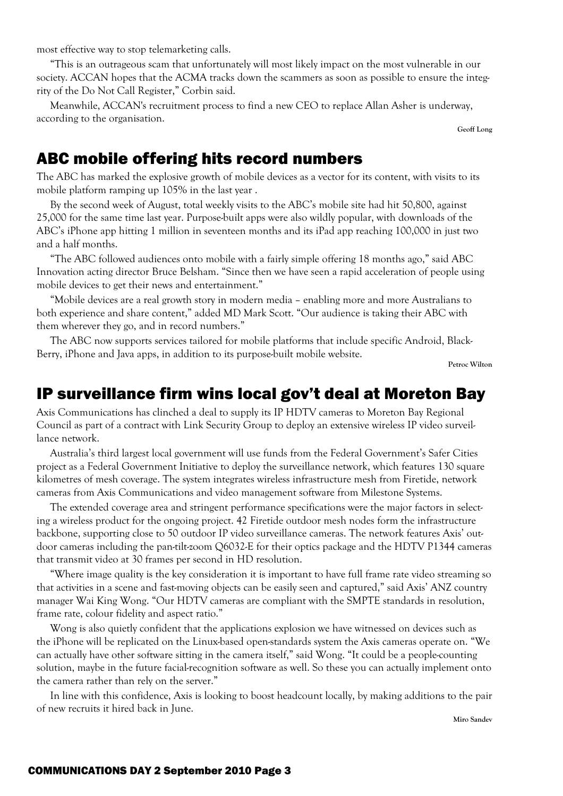most effective way to stop telemarketing calls.

 "This is an outrageous scam that unfortunately will most likely impact on the most vulnerable in our society. ACCAN hopes that the ACMA tracks down the scammers as soon as possible to ensure the integrity of the Do Not Call Register," Corbin said.

 Meanwhile, ACCAN's recruitment process to find a new CEO to replace Allan Asher is underway, according to the organisation.

**Geoff Long** 

### ABC mobile offering hits record numbers

The ABC has marked the explosive growth of mobile devices as a vector for its content, with visits to its mobile platform ramping up 105% in the last year .

 By the second week of August, total weekly visits to the ABC's mobile site had hit 50,800, against 25,000 for the same time last year. Purpose-built apps were also wildly popular, with downloads of the ABC's iPhone app hitting 1 million in seventeen months and its iPad app reaching 100,000 in just two and a half months.

 "The ABC followed audiences onto mobile with a fairly simple offering 18 months ago," said ABC Innovation acting director Bruce Belsham. "Since then we have seen a rapid acceleration of people using mobile devices to get their news and entertainment."

 "Mobile devices are a real growth story in modern media – enabling more and more Australians to both experience and share content," added MD Mark Scott. "Our audience is taking their ABC with them wherever they go, and in record numbers."

 The ABC now supports services tailored for mobile platforms that include specific Android, Black-Berry, iPhone and Java apps, in addition to its purpose-built mobile website.

**Petroc Wilton** 

### IP surveillance firm wins local gov't deal at Moreton Bay

Axis Communications has clinched a deal to supply its IP HDTV cameras to Moreton Bay Regional Council as part of a contract with Link Security Group to deploy an extensive wireless IP video surveillance network.

 Australia's third largest local government will use funds from the Federal Government's Safer Cities project as a Federal Government Initiative to deploy the surveillance network, which features 130 square kilometres of mesh coverage. The system integrates wireless infrastructure mesh from Firetide, network cameras from Axis Communications and video management software from Milestone Systems.

 The extended coverage area and stringent performance specifications were the major factors in selecting a wireless product for the ongoing project. 42 Firetide outdoor mesh nodes form the infrastructure backbone, supporting close to 50 outdoor IP video surveillance cameras. The network features Axis' outdoor cameras including the pan-tilt-zoom Q6032-E for their optics package and the HDTV P1344 cameras that transmit video at 30 frames per second in HD resolution.

 "Where image quality is the key consideration it is important to have full frame rate video streaming so that activities in a scene and fast-moving objects can be easily seen and captured," said Axis' ANZ country manager Wai King Wong. "Our HDTV cameras are compliant with the SMPTE standards in resolution, frame rate, colour fidelity and aspect ratio."

 Wong is also quietly confident that the applications explosion we have witnessed on devices such as the iPhone will be replicated on the Linux-based open-standards system the Axis cameras operate on. "We can actually have other software sitting in the camera itself," said Wong. "It could be a people-counting solution, maybe in the future facial-recognition software as well. So these you can actually implement onto the camera rather than rely on the server."

 In line with this confidence, Axis is looking to boost headcount locally, by making additions to the pair of new recruits it hired back in June.

**Miro Sandev**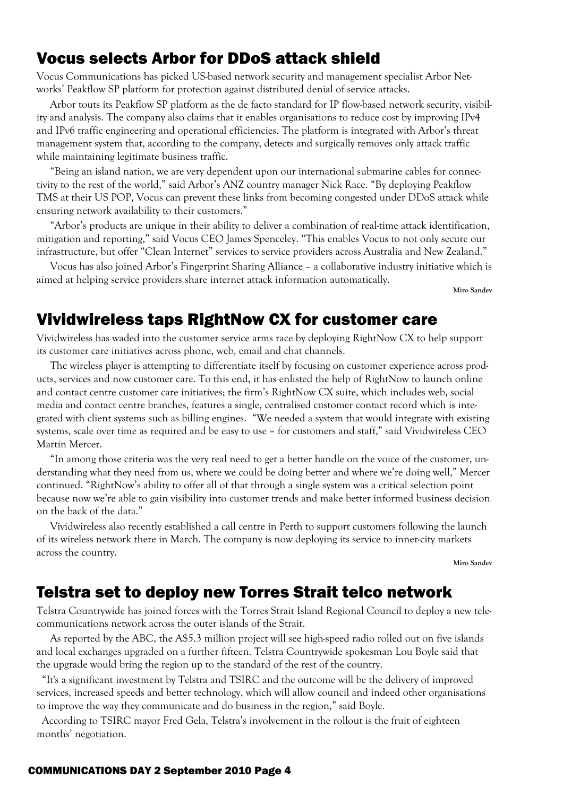## Vocus selects Arbor for DDoS attack shield

Vocus Communications has picked US-based network security and management specialist Arbor Networks' Peakflow SP platform for protection against distributed denial of service attacks.

 Arbor touts its Peakflow SP platform as the de facto standard for IP flow-based network security, visibility and analysis. The company also claims that it enables organisations to reduce cost by improving IPv4 and IPv6 traffic engineering and operational efficiencies. The platform is integrated with Arbor's threat management system that, according to the company, detects and surgically removes only attack traffic while maintaining legitimate business traffic.

 "Being an island nation, we are very dependent upon our international submarine cables for connectivity to the rest of the world," said Arbor's ANZ country manager Nick Race. "By deploying Peakflow TMS at their US POP, Vocus can prevent these links from becoming congested under DDoS attack while ensuring network availability to their customers."

 "Arbor's products are unique in their ability to deliver a combination of real-time attack identification, mitigation and reporting," said Vocus CEO James Spenceley. "This enables Vocus to not only secure our infrastructure, but offer "Clean Internet" services to service providers across Australia and New Zealand."

 Vocus has also joined Arbor's Fingerprint Sharing Alliance – a collaborative industry initiative which is aimed at helping service providers share internet attack information automatically.

**Miro Sandev** 

### Vividwireless taps RightNow CX for customer care

Vividwireless has waded into the customer service arms race by deploying RightNow CX to help support its customer care initiatives across phone, web, email and chat channels.

 The wireless player is attempting to differentiate itself by focusing on customer experience across products, services and now customer care. To this end, it has enlisted the help of RightNow to launch online and contact centre customer care initiatives; the firm's RightNow CX suite, which includes web, social media and contact centre branches, features a single, centralised customer contact record which is integrated with client systems such as billing engines. "We needed a system that would integrate with existing systems, scale over time as required and be easy to use – for customers and staff," said Vividwireless CEO Martin Mercer.

 "In among those criteria was the very real need to get a better handle on the voice of the customer, understanding what they need from us, where we could be doing better and where we're doing well," Mercer continued. "RightNow's ability to offer all of that through a single system was a critical selection point because now we're able to gain visibility into customer trends and make better informed business decision on the back of the data."

 Vividwireless also recently established a call centre in Perth to support customers following the launch of its wireless network there in March. The company is now deploying its service to inner-city markets across the country.

**Miro Sandev** 

## Telstra set to deploy new Torres Strait telco network

Telstra Countrywide has joined forces with the Torres Strait Island Regional Council to deploy a new telecommunications network across the outer islands of the Strait.

 As reported by the ABC, the A\$5.3 million project will see high-speed radio rolled out on five islands and local exchanges upgraded on a further fifteen. Telstra Countrywide spokesman Lou Boyle said that the upgrade would bring the region up to the standard of the rest of the country.

 "It's a significant investment by Telstra and TSIRC and the outcome will be the delivery of improved services, increased speeds and better technology, which will allow council and indeed other organisations to improve the way they communicate and do business in the region," said Boyle.

 According to TSIRC mayor Fred Gela, Telstra's involvement in the rollout is the fruit of eighteen months' negotiation.

#### COMMUNICATIONS DAY 2 September 2010 Page 4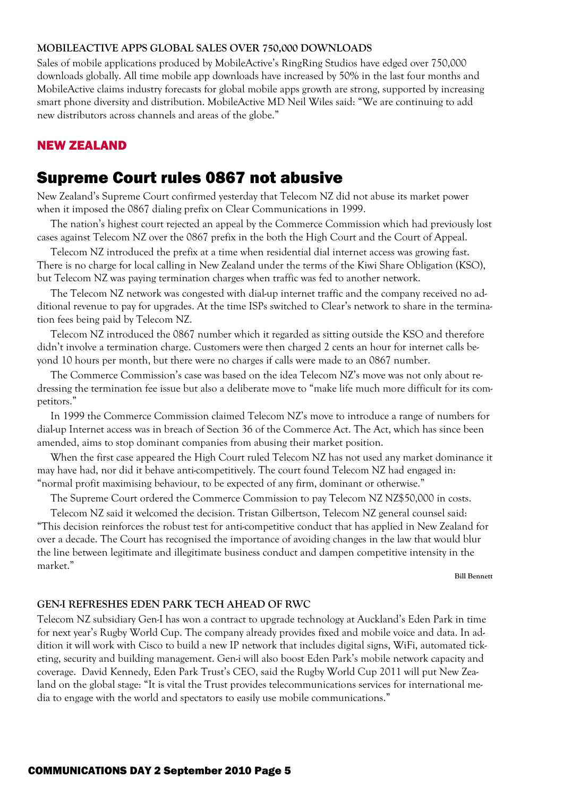#### **MOBILEACTIVE APPS GLOBAL SALES OVER 750,000 DOWNLOADS**

Sales of mobile applications produced by MobileActive's RingRing Studios have edged over 750,000 downloads globally. All time mobile app downloads have increased by 50% in the last four months and MobileActive claims industry forecasts for global mobile apps growth are strong, supported by increasing smart phone diversity and distribution. MobileActive MD Neil Wiles said: "We are continuing to add new distributors across channels and areas of the globe."

### NEW ZEALAND

# Supreme Court rules 0867 not abusive

New Zealand's Supreme Court confirmed yesterday that Telecom NZ did not abuse its market power when it imposed the 0867 dialing prefix on Clear Communications in 1999.

 The nation's highest court rejected an appeal by the Commerce Commission which had previously lost cases against Telecom NZ over the 0867 prefix in the both the High Court and the Court of Appeal.

 Telecom NZ introduced the prefix at a time when residential dial internet access was growing fast. There is no charge for local calling in New Zealand under the terms of the Kiwi Share Obligation (KSO), but Telecom NZ was paying termination charges when traffic was fed to another network.

 The Telecom NZ network was congested with dial-up internet traffic and the company received no additional revenue to pay for upgrades. At the time ISPs switched to Clear's network to share in the termination fees being paid by Telecom NZ.

 Telecom NZ introduced the 0867 number which it regarded as sitting outside the KSO and therefore didn't involve a termination charge. Customers were then charged 2 cents an hour for internet calls beyond 10 hours per month, but there were no charges if calls were made to an 0867 number.

 The Commerce Commission's case was based on the idea Telecom NZ's move was not only about redressing the termination fee issue but also a deliberate move to "make life much more difficult for its competitors."

 In 1999 the Commerce Commission claimed Telecom NZ's move to introduce a range of numbers for dial-up Internet access was in breach of Section 36 of the Commerce Act. The Act, which has since been amended, aims to stop dominant companies from abusing their market position.

 When the first case appeared the High Court ruled Telecom NZ has not used any market dominance it may have had, nor did it behave anti-competitively. The court found Telecom NZ had engaged in: "normal profit maximising behaviour, to be expected of any firm, dominant or otherwise."

The Supreme Court ordered the Commerce Commission to pay Telecom NZ NZ\$50,000 in costs.

 Telecom NZ said it welcomed the decision. Tristan Gilbertson, Telecom NZ general counsel said: "This decision reinforces the robust test for anti-competitive conduct that has applied in New Zealand for over a decade. The Court has recognised the importance of avoiding changes in the law that would blur the line between legitimate and illegitimate business conduct and dampen competitive intensity in the market."

**Bill Bennett** 

#### **GEN-I REFRESHES EDEN PARK TECH AHEAD OF RWC**

Telecom NZ subsidiary Gen-I has won a contract to upgrade technology at Auckland's Eden Park in time for next year's Rugby World Cup. The company already provides fixed and mobile voice and data. In addition it will work with Cisco to build a new IP network that includes digital signs, WiFi, automated ticketing, security and building management. Gen-i will also boost Eden Park's mobile network capacity and coverage. David Kennedy, Eden Park Trust's CEO, said the Rugby World Cup 2011 will put New Zealand on the global stage: "It is vital the Trust provides telecommunications services for international media to engage with the world and spectators to easily use mobile communications."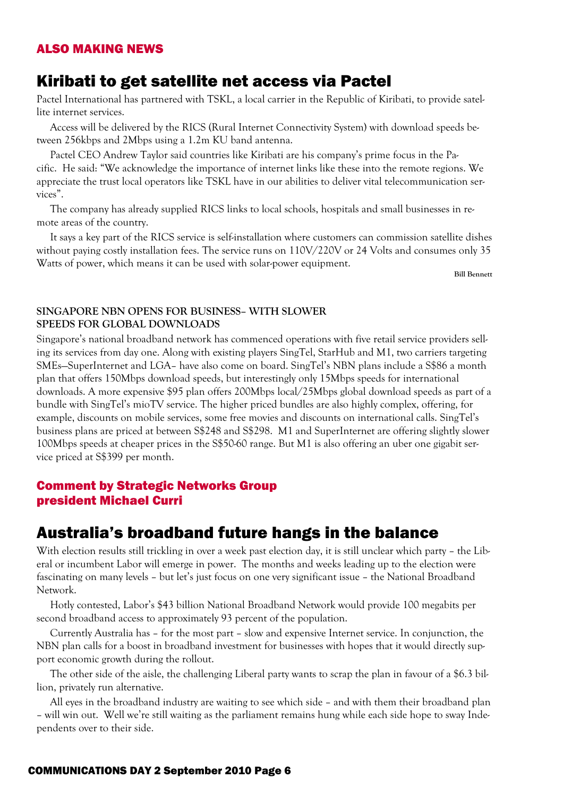#### ALSO MAKING NEWS

### Kiribati to get satellite net access via Pactel

Pactel International has partnered with TSKL, a local carrier in the Republic of Kiribati, to provide satellite internet services.

 Access will be delivered by the RICS (Rural Internet Connectivity System) with download speeds between 256kbps and 2Mbps using a 1.2m KU band antenna.

 Pactel CEO Andrew Taylor said countries like Kiribati are his company's prime focus in the Pacific. He said: "We acknowledge the importance of internet links like these into the remote regions. We appreciate the trust local operators like TSKL have in our abilities to deliver vital telecommunication services".

 The company has already supplied RICS links to local schools, hospitals and small businesses in remote areas of the country.

 It says a key part of the RICS service is self-installation where customers can commission satellite dishes without paying costly installation fees. The service runs on 110V/220V or 24 Volts and consumes only 35 Watts of power, which means it can be used with solar-power equipment.

**Bill Bennett** 

#### **SINGAPORE NBN OPENS FOR BUSINESS– WITH SLOWER SPEEDS FOR GLOBAL DOWNLOADS**

Singapore's national broadband network has commenced operations with five retail service providers selling its services from day one. Along with existing players SingTel, StarHub and M1, two carriers targeting SMEs—SuperInternet and LGA– have also come on board. SingTel's NBN plans include a S\$86 a month plan that offers 150Mbps download speeds, but interestingly only 15Mbps speeds for international downloads. A more expensive \$95 plan offers 200Mbps local/25Mbps global download speeds as part of a bundle with SingTel's mioTV service. The higher priced bundles are also highly complex, offering, for example, discounts on mobile services, some free movies and discounts on international calls. SingTel's business plans are priced at between S\$248 and S\$298. M1 and SuperInternet are offering slightly slower 100Mbps speeds at cheaper prices in the S\$50-60 range. But M1 is also offering an uber one gigabit service priced at S\$399 per month.

#### Comment by Strategic Networks Group president Michael Curri

### Australia's broadband future hangs in the balance

With election results still trickling in over a week past election day, it is still unclear which party – the Liberal or incumbent Labor will emerge in power. The months and weeks leading up to the election were fascinating on many levels – but let's just focus on one very significant issue – the National Broadband Network.

 Hotly contested, Labor's \$43 billion National Broadband Network would provide 100 megabits per second broadband access to approximately 93 percent of the population.

 Currently Australia has – for the most part – slow and expensive Internet service. In conjunction, the NBN plan calls for a boost in broadband investment for businesses with hopes that it would directly support economic growth during the rollout.

 The other side of the aisle, the challenging Liberal party wants to scrap the plan in favour of a \$6.3 billion, privately run alternative.

 All eyes in the broadband industry are waiting to see which side – and with them their broadband plan – will win out. Well we're still waiting as the parliament remains hung while each side hope to sway Independents over to their side.